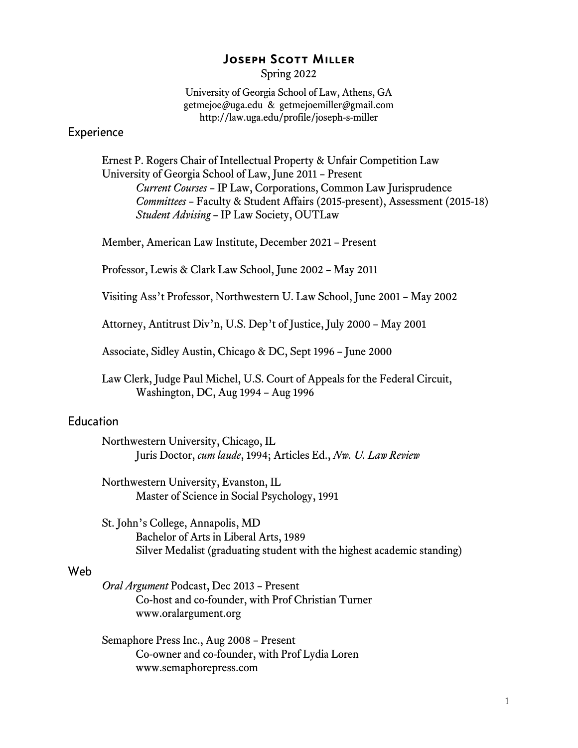# Joseph Scott Miller

Spring 2022

University of Georgia School of Law, Athens, GA getmejoe@uga.edu & getmejoemiller@gmail.com http://law.uga.edu/profile/joseph-s-miller

# Experience

Ernest P. Rogers Chair of Intellectual Property & Unfair Competition Law University of Georgia School of Law, June 2011 – Present *Current Courses* – IP Law, Corporations, Common Law Jurisprudence *Committees* – Faculty & Student Affairs (2015-present), Assessment (2015-18) *Student Advising* – IP Law Society, OUTLaw

Member, American Law Institute, December 2021 – Present

Professor, Lewis & Clark Law School, June 2002 – May 2011

Visiting Ass't Professor, Northwestern U. Law School, June 2001 – May 2002

Attorney, Antitrust Div'n, U.S. Dep't of Justice, July 2000 – May 2001

Associate, Sidley Austin, Chicago & DC, Sept 1996 – June 2000

Law Clerk, Judge Paul Michel, U.S. Court of Appeals for the Federal Circuit, Washington, DC, Aug 1994 – Aug 1996

# **Education**

Northwestern University, Chicago, IL Juris Doctor, *cum laude*, 1994; Articles Ed., *Nw. U. Law Review*

Northwestern University, Evanston, IL Master of Science in Social Psychology, 1991

St. John's College, Annapolis, MD Bachelor of Arts in Liberal Arts, 1989 Silver Medalist (graduating student with the highest academic standing)

# Web

*Oral Argument* Podcast, Dec 2013 – Present Co-host and co-founder, with Prof Christian Turner www.oralargument.org

Semaphore Press Inc., Aug 2008 – Present Co-owner and co-founder, with Prof Lydia Loren www.semaphorepress.com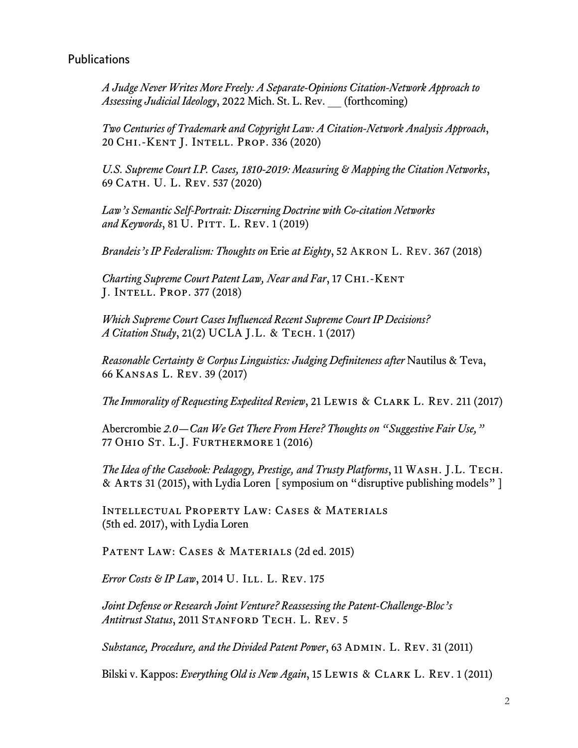# Publications

*A Judge Never Writes More Freely: A Separate-Opinions Citation-Network Approach to Assessing Judicial Ideology*, 2022 Mich. St. L. Rev. \_\_ (forthcoming)

*Two Centuries of Trademark and Copyright Law: A Citation-Network Analysis Approach*, 20 Chi.-Kent J. Intell. Prop. 336 (2020)

*U.S. Supreme Court I.P. Cases, 1810-2019: Measuring & Mapping the Citation Networks*, 69 Cath. U. L. Rev. 537 (2020)

*Law's Semantic Self-Portrait: Discerning Doctrine with Co-citation Networks and Keywords*, 81 U. Pitt. L. Rev. 1 (2019)

*Brandeis's IP Federalism: Thoughts on* Erie *at Eighty*, 52 Akron L. Rev. 367 (2018)

*Charting Supreme Court Patent Law, Near and Far*, 17 Chi.-Kent J. Intell. Prop. 377 (2018)

*Which Supreme Court Cases Influenced Recent Supreme Court IP Decisions? A Citation Study*, 21(2) UCLA J.L. & Tech. 1 (2017)

*Reasonable Certainty & Corpus Linguistics: Judging Definiteness after* Nautilus & Teva, 66 Kansas L. Rev. 39 (2017)

*The Immorality of Requesting Expedited Review*, 21 Lewis & Clark L. Rev. 211 (2017)

Abercrombie *2.0*—*Can We Get There From Here? Thoughts on "Suggestive Fair Use,"* 77 Ohio St. L.J. Furthermore 1 (2016)

*The Idea of the Casebook: Pedagogy, Prestige, and Trusty Platforms*, 11 Wash. J.L. Tech. & Arts 31 (2015), with Lydia Loren [ symposium on "disruptive publishing models" ]

Intellectual Property Law: Cases & Materials (5th ed. 2017), with Lydia Loren

PATENT LAW: CASES & MATERIALS (2d ed. 2015)

*Error Costs & IP Law*, 2014 U. ILL. L. REV. 175

*Joint Defense or Research Joint Venture? Reassessing the Patent-Challenge-Bloc's* Antitrust Status, 2011 STANFORD TECH. L. REV. 5

*Substance, Procedure, and the Divided Patent Power*, 63 ADMIN. L. REV. 31 (2011)

Bilski v. Kappos: *Everything Old is New Again*, 15 Lewis & Clark L. Rev. 1 (2011)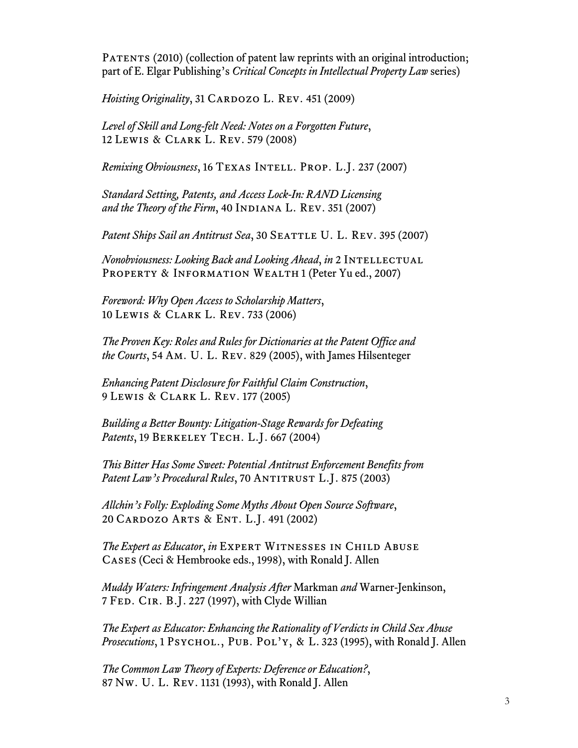PATENTS (2010) (collection of patent law reprints with an original introduction; part of E. Elgar Publishing's *Critical Concepts in Intellectual Property Law* series)

*Hoisting Originality*, 31 CARDOZO L. REV. 451 (2009)

*Level of Skill and Long-felt Need: Notes on a Forgotten Future*, 12 Lewis & Clark L. Rev. 579 (2008)

*Remixing Obviousness*, 16 Texas Intell. Prop. L.J. 237 (2007)

*Standard Setting, Patents, and Access Lock-In: RAND Licensing* and the Theory of the Firm, 40 INDIANA L. REV. 351 (2007)

*Patent Ships Sail an Antitrust Sea, 30 SEATTLE U. L. REV. 395 (2007)* 

*Nonobviousness: Looking Back and Looking Ahead*, *in* 2 Intellectual PROPERTY & INFORMATION WEALTH 1 (Peter Yu ed., 2007)

*Foreword: Why Open Access to Scholarship Matters*, 10 Lewis & Clark L. Rev. 733 (2006)

*The Proven Key: Roles and Rules for Dictionaries at the Patent Office and the Courts*, 54 Am. U. L. Rev. 829 (2005), with James Hilsenteger

*Enhancing Patent Disclosure for Faithful Claim Construction*, 9 Lewis & Clark L. Rev. 177 (2005)

*Building a Better Bounty: Litigation-Stage Rewards for Defeating Patents*, 19 Berkeley Tech. L.J. 667 (2004)

*This Bitter Has Some Sweet: Potential Antitrust Enforcement Benefits from* Patent Law's Procedural Rules, 70 ANTITRUST L.J. 875 (2003)

*Allchin's Folly: Exploding Some Myths About Open Source Software*, 20 Cardozo Arts & Ent. L.J. 491 (2002)

*The Expert as Educator, in* EXPERT WITNESSES IN CHILD ABUSE Cases (Ceci & Hembrooke eds., 1998), with Ronald J. Allen

*Muddy Waters: Infringement Analysis After* Markman *and* Warner-Jenkinson, 7 Fed. Cir. B.J. 227 (1997), with Clyde Willian

*The Expert as Educator: Enhancing the Rationality of Verdicts in Child Sex Abuse Prosecutions*, 1 PSYCHOL., PUB. POL'Y, & L. 323 (1995), with Ronald J. Allen

*The Common Law Theory of Experts: Deference or Education?*, 87 Nw. U. L. Rev. 1131 (1993), with Ronald J. Allen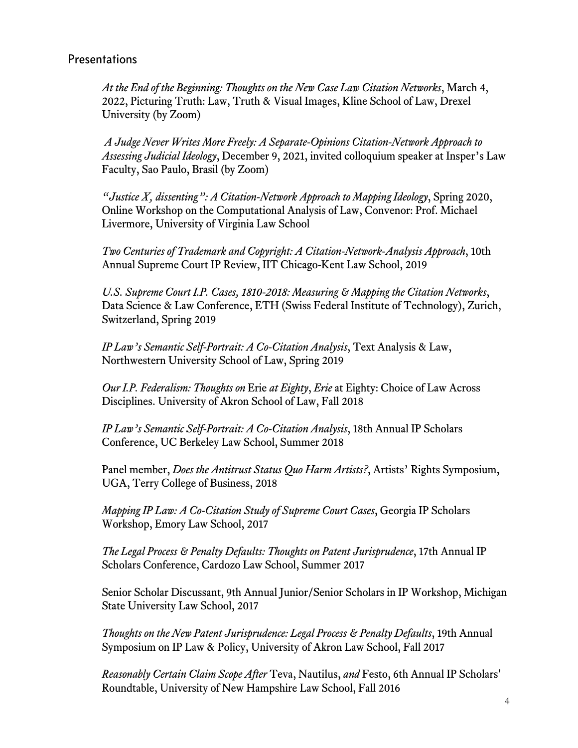# **Presentations**

*At the End of the Beginning: Thoughts on the New Case Law Citation Networks*, March 4, 2022, Picturing Truth: Law, Truth & Visual Images, Kline School of Law, Drexel University (by Zoom)

*A Judge Never Writes More Freely: A Separate-Opinions Citation-Network Approach to Assessing Judicial Ideology*, December 9, 2021, invited colloquium speaker at Insper's Law Faculty, Sao Paulo, Brasil (by Zoom)

*"Justice X, dissenting": A Citation-Network Approach to Mapping Ideology*, Spring 2020, Online Workshop on the Computational Analysis of Law, Convenor: Prof. Michael Livermore, University of Virginia Law School

*Two Centuries of Trademark and Copyright: A Citation-Network-Analysis Approach*, 10th Annual Supreme Court IP Review, IIT Chicago-Kent Law School, 2019

*U.S. Supreme Court I.P. Cases, 1810-2018: Measuring & Mapping the Citation Networks*, Data Science & Law Conference, ETH (Swiss Federal Institute of Technology), Zurich, Switzerland, Spring 2019

*IP Law's Semantic Self-Portrait: A Co-Citation Analysis*, Text Analysis & Law, Northwestern University School of Law, Spring 2019

*Our I.P. Federalism: Thoughts on* Erie *at Eighty*, *Erie* at Eighty: Choice of Law Across Disciplines. University of Akron School of Law, Fall 2018

*IP Law's Semantic Self-Portrait: A Co-Citation Analysis*, 18th Annual IP Scholars Conference, UC Berkeley Law School, Summer 2018

Panel member, *Does the Antitrust Status Quo Harm Artists?*, Artists' Rights Symposium, UGA, Terry College of Business, 2018

*Mapping IP Law: A Co-Citation Study of Supreme Court Cases*, Georgia IP Scholars Workshop, Emory Law School, 2017

*The Legal Process & Penalty Defaults: Thoughts on Patent Jurisprudence*, 17th Annual IP Scholars Conference, Cardozo Law School, Summer 2017

Senior Scholar Discussant, 9th Annual Junior/Senior Scholars in IP Workshop, Michigan State University Law School, 2017

*Thoughts on the New Patent Jurisprudence: Legal Process & Penalty Defaults*, 19th Annual Symposium on IP Law & Policy, University of Akron Law School, Fall 2017

*Reasonably Certain Claim Scope After* Teva, Nautilus, *and* Festo, 6th Annual IP Scholars' Roundtable, University of New Hampshire Law School, Fall 2016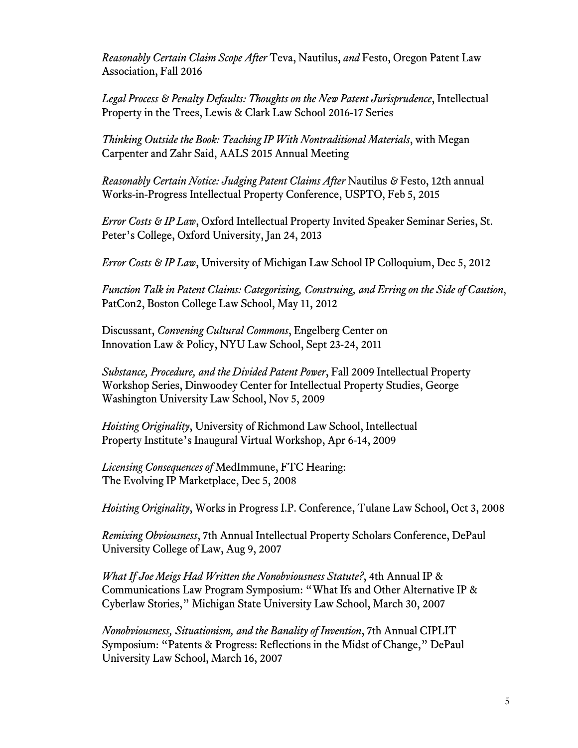*Reasonably Certain Claim Scope After* Teva, Nautilus, *and* Festo, Oregon Patent Law Association, Fall 2016

*Legal Process & Penalty Defaults: Thoughts on the New Patent Jurisprudence*, Intellectual Property in the Trees, Lewis & Clark Law School 2016-17 Series

*Thinking Outside the Book: Teaching IP With Nontraditional Materials*, with Megan Carpenter and Zahr Said, AALS 2015 Annual Meeting

*Reasonably Certain Notice: Judging Patent Claims After* Nautilus *&* Festo, 12th annual Works-in-Progress Intellectual Property Conference, USPTO, Feb 5, 2015

*Error Costs & IP Law*, Oxford Intellectual Property Invited Speaker Seminar Series, St. Peter's College, Oxford University, Jan 24, 2013

*Error Costs & IP Law*, University of Michigan Law School IP Colloquium, Dec 5, 2012

*Function Talk in Patent Claims: Categorizing, Construing, and Erring on the Side of Caution*, PatCon2, Boston College Law School, May 11, 2012

Discussant, *Convening Cultural Commons*, Engelberg Center on Innovation Law & Policy, NYU Law School, Sept 23-24, 2011

*Substance, Procedure, and the Divided Patent Power*, Fall 2009 Intellectual Property Workshop Series, Dinwoodey Center for Intellectual Property Studies, George Washington University Law School, Nov 5, 2009

*Hoisting Originality*, University of Richmond Law School, Intellectual Property Institute's Inaugural Virtual Workshop, Apr 6-14, 2009

*Licensing Consequences of* MedImmune, FTC Hearing: The Evolving IP Marketplace, Dec 5, 2008

*Hoisting Originality*, Works in Progress I.P. Conference, Tulane Law School, Oct 3, 2008

*Remixing Obviousness*, 7th Annual Intellectual Property Scholars Conference, DePaul University College of Law, Aug 9, 2007

*What If Joe Meigs Had Written the Nonobviousness Statute?*, 4th Annual IP & Communications Law Program Symposium: "What Ifs and Other Alternative IP & Cyberlaw Stories," Michigan State University Law School, March 30, 2007

*Nonobviousness, Situationism, and the Banality of Invention*, 7th Annual CIPLIT Symposium: "Patents & Progress: Reflections in the Midst of Change," DePaul University Law School, March 16, 2007